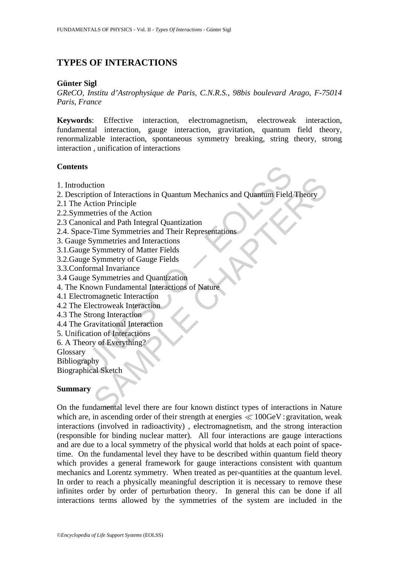# **TYPES OF INTERACTIONS**

#### **Günter Sigl**

*GReCO, Institu d'Astrophysique de Paris, C.N.R.S., 98bis boulevard Arago, F-75014 Paris, France* 

**Keywords**: Effective interaction, electromagnetism, electroweak interaction, fundamental interaction, gauge interaction, gravitation, quantum field theory, renormalizable interaction, spontaneous symmetry breaking, string theory, strong interaction , unification of interactions

### **Contents**

- 1. Introduction
- ts<br>
duction<br>
duction<br>
oription of Interactions in Quantum Mechanics and Quantum Field<br>
Action Principle<br>
metrics of the Action<br>
onical and Path Integral Quantization<br>
ce-Time Symmetries and Interactions<br>
ge Symmetry of Mat 2. Description of Interactions in Quantum Mechanics and Quantum Field Theory
- 2.1 The Action Principle
- 2.2.Symmetries of the Action
- 2.3 Canonical and Path Integral Quantization
- 2.4. Space-Time Symmetries and Their Representations
- 3. Gauge Symmetries and Interactions
- 3.1.Gauge Symmetry of Matter Fields
- 3.2.Gauge Symmetry of Gauge Fields
- 3.3.Conformal Invariance
- 3.4 Gauge Symmetries and Quantization
- 4. The Known Fundamental Interactions of Nature
- 4.1 Electromagnetic Interaction
- 4.2 The Electroweak Interaction
- 4.3 The Strong Interaction
- 4.4 The Gravitational Interaction
- 5. Unification of Interactions
- 6. A Theory of Everything?

Glossary

Bibliography

Biographical Sketch

## **Summary**

tion<br>
ion of Interactions in Quantum Mechanics and Quantum Field Theory<br>
ition Principle<br>
tent Action<br>
cal and Path Integral Quantization<br>
Symmetries and Interactions<br>
Symmetry of Gauge Fields<br>
Symmetries and Quantization<br> On the fundamental level there are four known distinct types of interactions in Nature which are, in ascending order of their strength at energies  $\ll 100 \text{GeV}$  : gravitation, weak interactions (involved in radioactivity) , electromagnetism, and the strong interaction (responsible for binding nuclear matter). All four interactions are gauge interactions and are due to a local symmetry of the physical world that holds at each point of spacetime. On the fundamental level they have to be described within quantum field theory which provides a general framework for gauge interactions consistent with quantum mechanics and Lorentz symmetry. When treated as per-quantities at the quantum level. In order to reach a physically meaningful description it is necessary to remove these infinites order by order of perturbation theory. In general this can be done if all interactions terms allowed by the symmetries of the system are included in the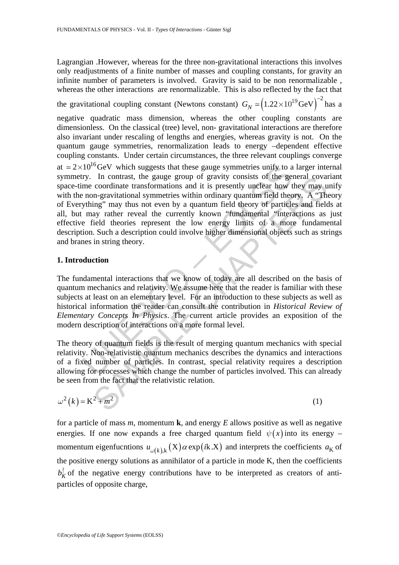Lagrangian .However, whereas for the three non-gravitational interactions this involves only readjustments of a finite number of masses and coupling constants, for gravity an infinite number of parameters is involved. Gravity is said to be non renormalizable , whereas the other interactions are renormalizable. This is also reflected by the fact that

the gravitational coupling constant (Newtons constant)  $G_N \approx (1.22 \times 10^{19} \text{GeV})^{-2}$  has a

negative quadratic mass dimension, whereas the other coupling constants are dimensionless. On the classical (tree) level, non- gravitational interactions are therefore also invariant under rescaling of lengths and energies, whereas gravity is not. On the quantum gauge symmetries, renormalization leads to energy –dependent effective coupling constants. Under certain circumstances, the three relevant couplings converge

10<sup>16</sup>GeV which suggests that these gauge symmetries unify to a<br>ry. In contrast, the gauge group of gravity consists of the geme<br>cordinate transformations and it is presently unclear how<br>then e cordinate anon-gravitationa In contrast, the gauge group of gravity consists of the general covariate corofinate transformations and it is presently unclear how they may corofinate corofinate informations and it is presently unclear how they may the at  $\approx 2 \times 10^{16}$  GeV which suggests that these gauge symmetries unify to a larger internal symmetry. In contrast, the gauge group of gravity consists of the general covariant space-time coordinate transformations and it is presently unclear how they may unify with the non-gravitational symmetries within ordinary quantum field theory. A "Theory of Everything" may thus not even by a quantum field theory of particles and fields at all, but may rather reveal the currently known "fundamental "interactions as just effective field theories represent the low energy limits of a more fundamental description. Such a description could involve higher dimensional objects such as strings and branes in string theory.

## **1. Introduction**

The fundamental interactions that we know of today are all described on the basis of quantum mechanics and relativity. We assume here that the reader is familiar with these subjects at least on an elementary level. For an introduction to these subjects as well as historical information the reader can consult the contribution in *Historical Review of Elementary Concepts In Physics*. The current article provides an exposition of the modern description of interactions on a more formal level.

The theory of quantum fields is the result of merging quantum mechanics with special relativity. Non-relativistic quantum mechanics describes the dynamics and interactions of a fixed number of particles. In contrast, special relativity requires a description allowing for processes which change the number of particles involved. This can already be seen from the fact that the relativistic relation.

$$
\omega^2(k) = K^2 + m^2 \tag{1}
$$

for a particle of mass *m*, momentum **k**, and energy *E* allows positive as well as negative energies. If one now expands a free charged quantum field  $\psi(x)$  into its energy – momentum eigenfucntions  $u_{\omega(k)k}(X) \alpha \exp(ik.X)$  and interprets the coefficients  $a_K$  of the positive energy solutions as annihilator of a particle in mode K, then the coefficients  $b_K^{\dagger}$  of the negative energy contributions have to be interpreted as creators of antiparticles of opposite charge,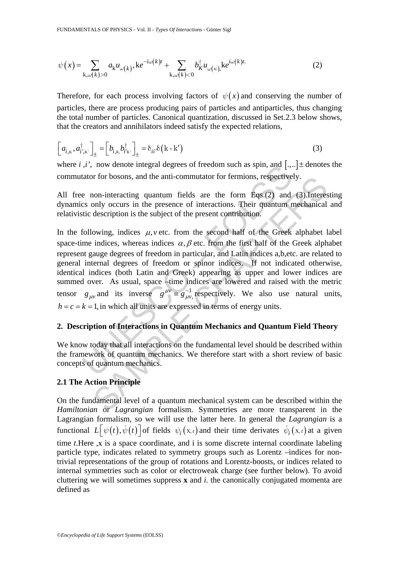$$
\psi(x) = \sum_{\mathbf{k},\omega(k)>0} a_{\mathbf{k}} u_{\omega(k)}, \mathbf{k} e^{-i\omega(k)t} + \sum_{\mathbf{k},\omega(k)<0} b_{K}^{\dagger} u_{\omega(k)}, \mathbf{k} e^{i\omega(k)t}.\tag{2}
$$

Therefore, for each process involving factors of  $\psi(x)$  and conserving the number of particles, there are process producing pairs of particles and antiparticles, thus changing the total number of particles. Canonical quantization, discussed in Set.2.3 below shows, that the creators and annihilators indeed satisfy the expected relations,

$$
\left[a_{i,\kappa}, a_{i',\kappa'}^{\dagger}\right]_{\pm} = \left[b_{i,\kappa}, b_{i'\kappa'}^{\dagger}\right]_{\pm} = \delta_{ii'}\delta\left(\kappa - \kappa'\right)
$$
\n(3)

where *i*, *i'*, now denote integral degrees of freedom such as spin, and  $[.,.] \pm$  denotes the commutator for bosons, and the anti-commutator for fermions, respectively.

All free non-interacting quantum fields are the form Eqs.(2) and (3).Interesting dynamics only occurs in the presence of interactions. Their quantum mechanical and relativistic description is the subject of the present contribution.

,*t*, now denote integral degrees of freedom such as spin, and [...<br>tator for bosons, and the anti-commutator for fermions, respective<br>e non-interacting quantum fields are the form Eqs.(2) and<br>es only occurs in the presen on-interacting quantum fields are the form Eqs.(2) and (3).Interesting quantum fields are the form Eqs.(2) and (3).Interesting operation is the presence of interactions. Their quantum mechanical description is the subject In the following, indices  $\mu$ , *v* etc. from the second half of the Greek alphabet label space-time indices, whereas indices  $\alpha$ ,  $\beta$  etc. from the first half of the Greek alphabet represent gauge degrees of freedom in particular, and Latin indices a,b,etc. are related to general internal degrees of freedom or spinor indices. If not indicated otherwise, identical indices (both Latin and Greek) appearing as upper and lower indices are summed over. As usual, space –time indices are lowered and raised with the metric tensor  $g_{\mu\nu}$  and its inverse  $g^{\mu\nu} \equiv g_{\mu\nu}^{-1}$ ,  $g^{\mu\nu} \equiv g_{\mu\nu}^{-1}$ , respectively. We also use natural units,  $h = c = k = 1$ , in which all units are expressed in terms of energy units.

# **2. Description of Interactions in Quantum Mechanics and Quantum Field Theory**

We know today that all interactions on the fundamental level should be described within the framework of quantum mechanics. We therefore start with a short review of basic concepts of quantum mechanics.

## **2.1 The Action Principle**

On the fundamental level of a quantum mechanical system can be described within the *Hamiltonian* or *Lagrangian* formalism. Symmetries are more transparent in the Lagrangian formalism, so we will use the latter here. In general the *Lagrangian* is a functional  $L[\psi(t), \dot{\psi}(t)]$  of fields  $\psi_i(x, t)$  and their time derivates  $\dot{\psi}_i(x, t)$  at a given time *t*.Here ,**X** is a space coordinate, and i is some discrete internal coordinate labeling particle type, indicates related to symmetry groups such as Lorentz –indices for nontrivial representations of the group of rotations and Lorentz-boosts, or indices related to internal symmetries such as color or electroweak charge (see further below). To avoid cluttering we will sometimes suppress **x** and *i.* the canonically conjugated momenta are defined as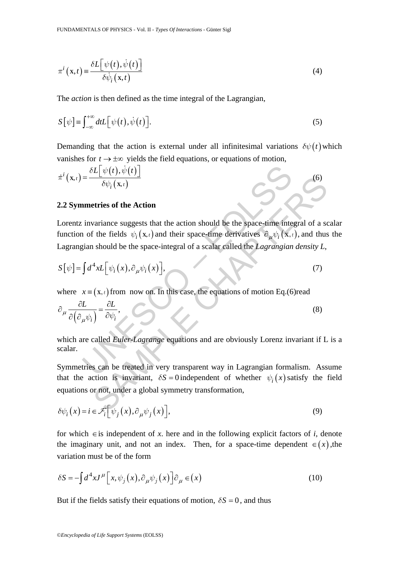$$
\pi^{i}(\mathbf{x},t) \equiv \frac{\delta L[\psi(t), \dot{\psi}(t)]}{\delta \dot{\psi}_{i}(\mathbf{x},t)}
$$
(4)

The *action* is then defined as the time integral of the Lagrangian,

$$
S[\psi] \equiv \int_{-\infty}^{+\infty} dt L[\psi(t), \dot{\psi}(t)].
$$
\n(5)

Demanding that the action is external under all infinitesimal variations  $\delta \psi(t)$  which vanishes for  $t \to \pm \infty$  yields the field equations, or equations of motion,

$$
\dot{\pi}^{i}(\mathbf{x},t) = \frac{\delta L[\psi(t), \dot{\psi}(t)]}{\delta \psi_{i}(\mathbf{x},t)}
$$
(6)

### **2.2 Symmetries of the Action**

=  $\frac{\delta L[\psi(t), \dot{\psi}(t)]}{\delta \psi_i(\mathbf{x}, t)}$ <br>
nmetries of the Action<br>
invariance suggests that the action should be the space-time inte<br>
in of the fields  $\psi_i(\mathbf{x}, t)$  and their space-time derivatives  $\partial_{\mu} \psi_i(\mathbf{x}, t)$ <br>
igian should **Example 12**<br>
Solv<sub>i</sub> (x, i)<br>
definitions of the Action<br>
variance suggests that the action should be the space-time integral of a so<br>
in the fields  $\psi_i(x_i)$  and their space-time derivatives  $\hat{e}_{\mu}\psi_i(x_i)$ , and thus<br>
shou Lorentz invariance suggests that the action should be the space-time integral of a scalar function of the fields  $\psi_i$  (**x**, *i*) and their space-time derivatives  $\partial_\mu \psi_i$  (**x**, *i*), and thus the Lagrangian should be the space-integral of a scalar called the *Lagrangian density L*,

$$
S[\psi] = \int d^4x L[\psi_i(x), \partial_\mu \psi_i(x)], \qquad (7)
$$

where  $x = (x, t)$  from now on. In this case, the equations of motion Eq.(6)read

$$
\partial_{\mu} \frac{\partial L}{\partial (\partial_{\mu} \psi_i)} = \frac{\partial L}{\partial \psi_i},
$$
\n(8)

which are called *Euler-Lagrange* equations and are obviously Lorenz invariant if L is a scalar.

Symmetries can be treated in very transparent way in Lagrangian formalism. Assume that the action is invariant,  $\delta S = 0$  independent of whether  $\psi_i(x)$  satisfy the field equations or not, under a global symmetry transformation,

$$
\delta\psi_i(x) = i \in \mathcal{F}_i\Big[\psi_j(x), \partial_\mu\psi_j(x)\Big],\tag{9}
$$

for which  $\in$  is independent of *x*. here and in the following explicit factors of *i*, denote the imaginary unit, and not an index. Then, for a space-time dependent  $\in$  (x), the variation must be of the form

$$
\delta S = -\int d^4x J^\mu \Big[ x, \psi_j(x), \partial_\mu \psi_j(x) \Big] \partial_\mu \in (x)
$$
\n(10)

But if the fields satisfy their equations of motion,  $\delta S = 0$ , and thus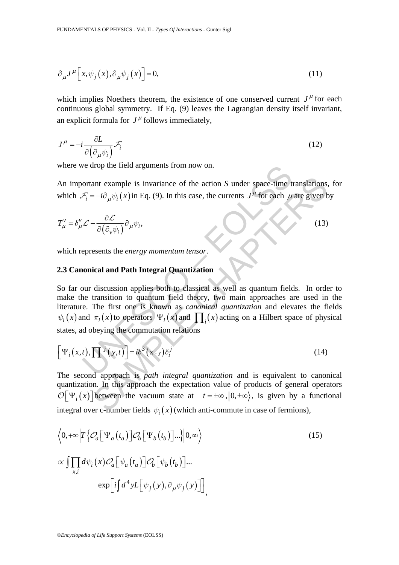$$
\partial_{\mu}J^{\mu}\left[x,\psi_{j}\left(x\right),\partial_{\mu}\psi_{j}\left(x\right)\right]=0,\tag{11}
$$

which implies Noethers theorem, the existence of one conserved current  $J^{\mu}$  for each continuous global symmetry. If Eq. (9) leaves the Lagrangian density itself invariant, an explicit formula for  $J^{\mu}$  follows immediately,

$$
J^{\mu} = -i \frac{\partial L}{\partial (\partial_{\mu} \psi_i)} \mathcal{F}_i
$$
 (12)

where we drop the field arguments from now on.

An important example is invariance of the action *S* under space-time translations, for which  $\mathcal{F}_i = -i \partial_\mu \psi_i(x)$  in Eq. (9). In this case, the currents  $J^\mu$  for each  $\mu$  are given by

$$
T_{\mu}^{\nu} = \delta_{\mu}^{\nu} \mathcal{L} - \frac{\partial \mathcal{L}}{\partial (\partial_{\nu} \psi_i)} \partial_{\mu} \psi_i,
$$
 (13)

which represents the *energy momentum tensor*.

# **2.3 Canonical and Path Integral Quantization**

we drop the field arguments from now on.<br>
ortant example is invariance of the action *S* under space-time t<br>  $\mathcal{F}_i = -i\partial_\mu \psi_i(x)$  in Eq. (9). In this case, the currents  $J^\mu$  for each  $\mu$ <br>  $\mathcal{L} - \frac{\partial \mathcal{L}}{\partial(\partial_\nu \psi_i)} \partial$ ant example is invariance of the action *S* under space-time translations.<br>  $= -i\partial_{\mu}\psi_i(x)$  in Eq. (9). In this case, the currents  $J^{\mu}$  for each  $\mu$  are given b<br>  $-\frac{\partial \mathcal{L}}{\partial(\partial_{\nu}\psi_i)}\partial_{\mu}\psi_i$ . (13)<br>
esents the *ener* So far our discussion applies both to classical as well as quantum fields. In order to make the transition to quantum field theory, two main approaches are used in the literature. The first one is known as *canonical quantization* and elevates the fields  $\psi_i(x)$  and  $\pi_i(x)$  to operators  $\Psi_i(x)$  and  $\Pi_i(x)$  acting on a Hilbert space of physical states, ad obeying the commutation relations

$$
\left[\Psi_i(x,t),\prod^{j}(y,t)\right] = i\delta^3(x-y)\delta_i^j
$$
\n(14)

The second approach is *path integral quantization* and is equivalent to canonical quantization. In this approach the expectation value of products of general operators  $\mathcal{O}[\Psi_i(x)]$  between the vacuum state at  $t = \pm \infty$ ,  $(0, \pm \infty)$ , is given by a functional integral over c-number fields  $\psi_i(x)$  (which anti-commute in case of fermions),

$$
\langle 0, +\infty \Big| T \Big\{ \mathcal{O}_a \Big[ \Psi_a \big( t_a \big) \Big] \mathcal{O}_b \Big[ \Psi_b \big( t_b \big) \Big] ... \Big\} \Big| 0, \infty \Big\rangle
$$
\n
$$
\propto \iiint_{x,i} d\psi_i(x) \mathcal{O}_a \Big[ \psi_a \big( t_a \big) \Big] \mathcal{O}_b \Big[ \psi_b \big( t_b \big) \Big] ...
$$
\n
$$
\exp \Big[ i \int d^4 y L \Big[ \psi_j(y), \partial_\mu \psi_j(y) \Big] \Big]
$$
\n
$$
(15)
$$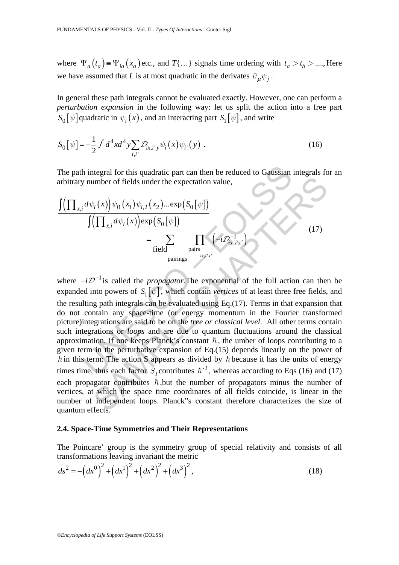where  $\Psi_a(t_a) = \Psi_{ia}(x_a)$  etc., and  $T\{\ldots\}$  signals time ordering with  $t_a > t_b > \ldots$ , Here we have assumed that *L* is at most quadratic in the derivates  $\partial_{\mu}\psi_i$ .

In general these path integrals cannot be evaluated exactly. However, one can perform a *perturbation expansion* in the following way: let us split the action into a free part  $S_0[\psi]$  quadratic in  $\psi_i(x)$ , and an interacting part  $S_1[\psi]$ , and write

$$
S_0[\psi] = -\frac{1}{2} \int d^4x d^4y \sum_{i,i'} \mathcal{D}_{ix,i'y} \psi_i(x) \psi_{i'}(y) .
$$
 (16)

The path integral for this quadratic part can then be reduced to Gaussian integrals for an arbitrary number of fields under the expectation value,

$$
\frac{\int \left(\prod_{x,i} d\psi_i(x)\right) \psi_{i1}(x_1) \psi_{i,2}(x_2) \dots \exp\left(S_0[\psi]\right)}{\int \left(\prod_{x,i} d\psi_i(x)\right) \exp\left(S_0[\psi]\right)} = \sum_{\text{field} \atop \text{pairings} \atop \text{iz } \psi_i(x)} \prod_{\text{iz } i \leq x'} \left(-i \mathcal{D}_{i\vec{x},i'x'}^{-1}\right)
$$
\n(17)

h integral for this quadratic part can then be reduced to Gaussian<br>
y number of fields under the expectation value,<br>  $\frac{d\psi_i(x)}{\sqrt[n]{\mu_i(x_i)\psi_{i,2}(x_2)\dots \exp(S_0[\psi])}}$ <br>  $= \sum_{\text{field}} \prod_{\text{pairs}} (-i\mathcal{D}_{\alpha,i'\alpha'}^{-1})$ <br>  $-i\mathcal{D}^{-1}$  is called umber of fields under the expectation value,<br>  $\psi_i(x) \psi_{i1}(x_1) \psi_{i2}(x_2) \dots \exp(S_0[\psi])$ <br>  $\left(\prod_{x,i} d\psi_i(x)\right) \exp(S_0[\psi])$ <br>  $= \sum_{\text{fields}} \prod_{\text{pairs}} \left( -i \mathcal{D}_{\overline{a}, i'x}^{-1} \right)$ <br>  $\mathcal{D}^{-1}$  is called the *propagator*. The exponential of t where  $-i\mathcal{D}^{-1}$  is called the *propagator*. The exponential of the full action can then be expanded into powers of  $S_1[\psi]$ , which contain *vertices* of at least three free fields, and the resulting path integrals can be evaluated using Eq.(17). Terms in that expansion that do not contain any space-time (or energy momentum in the Fourier transformed picture)integrations are said to be on the *tree or classical level*. All other terms contain such integrations or *loops* and are due to quantum fluctuations around the classical approximation. If one keeps Planck's constant  $\hbar$ , the umber of loops contributing to a given term in the perturbative expansion of Eq.(15) depends linearly on the power of  $\hbar$  in this term: The action S appears as divided by  $\hbar$  because it has the units of energy times time, thus each factor  $S<sub>t</sub>$  contributes  $\hbar^{-1}$ , whereas according to Eqs (16) and (17) each propagator contributes  $\hbar$ , but the number of propagators minus the number of vertices, at which the space time coordinates of all fields coincide, is linear in the number of independent loops. Planck"s constant therefore characterizes the size of quantum effects.

#### **2.4. Space-Time Symmetries and Their Representations**

The Poincare' group is the symmetry group of special relativity and consists of all transformations leaving invariant the metric

$$
ds^{2} = -\left(dx^{0}\right)^{2} + \left(dx^{1}\right)^{2} + \left(dx^{2}\right)^{2} + \left(dx^{3}\right)^{2},
$$
\n(18)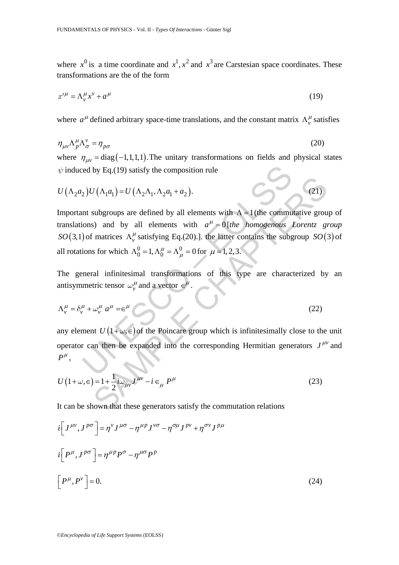where  $x^0$  is a time coordinate and  $x^1, x^2$  and  $x^3$  are Carstesian space coordinates. These transformations are the of the form

$$
x^{\prime \mu} = \Lambda^{\mu}_{\nu} x^{\nu} + a^{\mu} \tag{19}
$$

where  $a^{\mu}$  defined arbitrary space-time translations, and the constant matrix  $\Lambda_{\nu}^{\mu}$  satisfies

$$
\eta_{\mu\nu} \Lambda^\mu_{\rho} \Lambda^\nu_{\sigma} = \eta_{\rho\sigma} \tag{20}
$$

where  $\eta_{\mu\nu} = \text{diag}(-1,1,1,1)$ . The unitary transformations on fields and physical states  $\psi$  induced by Eq.(19) satisfy the composition rule

$$
U(\Lambda_2 a_2)U(\Lambda_1 a_1) = U(\Lambda_2 \Lambda_1, \Lambda_2 a_1 + a_2).
$$
\n(21)

ed by Eq.(19) satisfy the composition rule<br>
2)  $U(\Lambda_1 a_1) = U(\Lambda_2 \Lambda_1, \Lambda_2 a_1 + a_2)$ .<br>
In subgroups are defined by all elements with  $\Lambda = 1$  (the commu<br>
ions) and by all elements with  $a^{\mu} = 0$  [the homogenous]<br>
(of matrice  $U(\Lambda_1 a_1) = U(\Lambda_2 \Lambda_1, \Lambda_2 a_1 + a_2)$ . (21)<br>
subgroups are defined by all elements with  $\Lambda = 1$  (the commutative group)<br>
solvently and by all elements with  $a^{\mu} = 0$  [the homogenous Lorentz gradies  $\Lambda_v^{\mu}$  satisfying Eq.( Important subgroups are defined by all elements with  $\Lambda = 1$  (the commutative group of translations) and by all elements with  $a^{\mu} = 0$  [*the homogenous Lorentz group SO*(3,1) of matrices  $\Lambda_v^{\mu}$  satisfying Eq.(20).]. the latter contains the subgroup *SO*(3) of all rotations for which  $\Lambda_0^0 = 1, \Lambda_0^\mu = \Lambda_\mu^0 = 0$  for  $\mu = 1, 2, 3$ .

The general infinitesimal transformations of this type are characterized by an antisymmetric tensor  $\omega_{\nu}^{\mu}$  and a vector  $\in^{\mu}$ .

$$
\Lambda_v^{\mu} = \delta_v^{\mu} + \omega_v^{\mu} a^{\mu} = \epsilon^{\mu} \tag{22}
$$

any element  $U(1+\omega,\epsilon)$  of the Poincare group which is infinitesimally close to the unit operator can then be expanded into the corresponding Hermitian generators  $J^{\mu\nu}$  and  $P^{\mu}$ ,

$$
U\left(1+\omega,\epsilon\right) = 1 + \frac{1}{2}i\omega_{\mu\nu}J^{\mu\nu} - i\epsilon_{\mu}P^{\mu}
$$
\n(23)

It can be shown that these generators satisfy the commutation relations

$$
i\left[J^{\mu\nu},J^{\rho\sigma}\right] = \eta^{\nu}J^{\mu\sigma} - \eta^{\mu p}J^{\nu\sigma} - \eta^{\sigma\mu}J^{\rho\nu} + \eta^{\sigma\nu}J^{\rho\mu}
$$
  

$$
i\left[P^{\mu},J^{\rho\sigma}\right] = \eta^{\mu p}P^{\sigma} - \eta^{\mu\sigma}P^{\rho}
$$
  

$$
\left[P^{\mu},P^{\nu}\right] = 0.
$$
 (24)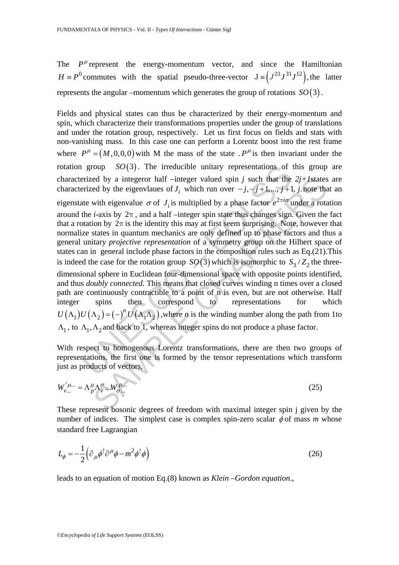The  $P^{\mu}$  represent the energy-momentum vector, and since the Hamiltonian  $H \equiv P^0$  commutes with the spatial pseudo-three-vector  $J \equiv (J^{23} J^{31} J^{12})$ , the latter represents the angular –momentum which generates the group of rotations  $SO(3)$ .

group *SO*(3). The irreducible unitary representations of i<br>erized by a integeror half -integer valued spin *j* such that the<br>erized by the eigenvlaues of *J<sub>i</sub>* which run over  $-j, -j+1, ..., j+1$ <br>the *i*-axis by 2π, and a hal ed by a integeror half -integer valued spin *j* such that the 2*j*+*I*states<br>ed by the eigenvlaues of *J<sub>i</sub>* which run over  $-j$ ,  $-j + 1$ ,  $j$ ,  $j$ ,  $j$ ,  $k$ ,  $j$ ,  $k$ ,  $k$ ,  $k$  and  $k$  eigenvlaue  $\sigma$  of *J<sub>i</sub>* is multipli Fields and physical states can thus be characterized by their energy-momentum and spin, which characterize their transformations properties under the group of translations and under the rotation group, respectively. Let us first focus on fields and stats with non-vanishing mass. In this case one can perform a Lorentz boost into the rest frame where  $P^{\mu} = (M, 0, 0, 0)$  with M the mass of the state  $P^{\mu}$  is then invariant under the rotation group  $SO(3)$ . The irreducible unitary representations of this group are characterized by a integeror half –integer valued spin  $j$  such that the  $2j+1$  states are characterized by the eigenvlaues of  $J_i$  which run over  $-j, -j+1, ..., j+1, j$  note that an eigenstate with eigenvalue  $\sigma$  of  $J_i$  is multiplied by a phase factor  $e^{2\pi i \sigma}$  under a rotation around the *i*-axis by  $2\pi$ , and a half –integer spin state thus changes sign. Given the fact that a rotation by  $2\pi$  is the identity this may at first seem surprising. Note, however that normalize states in quantum mechanics are only defined up to phase factors and thus a general unitary *projective representation* of a symmetry group on the Hilbert space of states can in general include phase factors in the composition rules such as Eq.(21).This is indeed the case for the rotation group *SO*(3) which is isomorphic to  $S_3/Z_2$  the threedimensional sphere in Euclidean four-dimensional space with opposite points identified, and thus *doubly connected.* This means that closed curves winding n times over a closed path are continuously contractible to a point of n is even, but are not otherwise. Half integer spins then correspond to representations for which  $U(\Lambda_1)U(\Lambda_2) = (-)^n U(\Lambda_1\Lambda_2)$ , where *n* is the winding number along the path from 1to  $\Lambda_1$ , to  $\Lambda_1$ ,  $\Lambda_2$  and back to 1, whereas integer spins do not produce a phase factor.

With respect to homogenous Lorentz transformations, there are then two groups of representations. the first one is formed by the tensor representations which transform just as products of vectors,

$$
W'_{\nu...} = \Lambda_p^{\mu} \Lambda_v^{\sigma} ... W_{\sigma...}^{p...}
$$
 (25)

These represent bosonic degrees of freedom with maximal integer spin j given by the number of indices. The simplest case is complex spin-zero scalar  $\phi$  of mass *m* whose standard free Lagrangian

$$
L_{\phi} = -\frac{1}{2} \left( \partial_{\mu} \phi^{\dagger} \partial^{\mu} \phi - m^2 \phi^{\dagger} \phi \right)
$$
 (26)

leads to an equation of motion Eq.(8) known as *Klein –Gordon equation*.,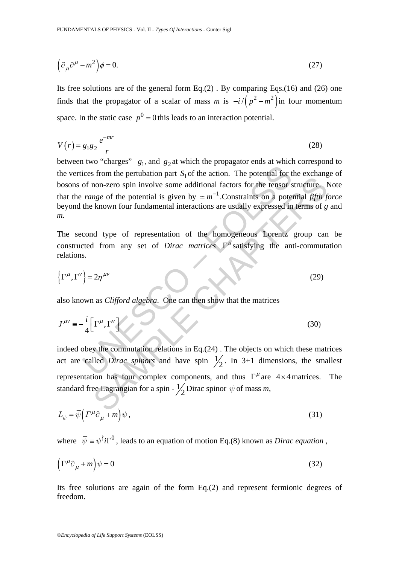$$
\left(\partial_{\mu}\partial^{\mu} - m^{2}\right)\phi = 0. \tag{27}
$$

Its free solutions are of the general form  $Eq.(2)$ . By comparing Eqs.(16) and (26) one finds that the propagator of a scalar of mass *m* is  $-i/(p^2 - m^2)$  in four momentum space. In the static case  $p^0 = 0$  this leads to an interaction potential.

$$
V(r) = g_1 g_2 \frac{e^{-mr}}{r}
$$
 (28)

cices from the pertubation part  $S_1$  of the action. The potential for t<br>of non-zero spin involve some additional factors for the tensor *range* of the potential is given by  $= m^{-1}$ . Constraints on a pote<br>*the known four* between two "charges"  $g_1$ , and  $g_2$  at which the propagator ends at which correspond to the vertices from the pertubation part  $S<sub>1</sub>$  of the action. The potential for the exchange of bosons of non-zero spin involve some additional factors for the tensor structure. Note that the *range* of the potential is given by  $\approx m^{-1}$ . Constraints on a potential *fifth force* beyond the known four fundamental interactions are usually expressed in terms of *g* and *m*.

The second type of representation of the homogeneous Lorentz group can be constructed from any set of *Dirac matrices*  $\Gamma^{\mu}$  satisfying the anti-commutation relations.

$$
\left\{\Gamma^{\mu}, \Gamma^{\nu}\right\} = 2\eta^{\mu\nu} \tag{29}
$$

also known as *Clifford algebra*. One can then show that the matrices

$$
J^{\mu\nu} \equiv -\frac{i}{4} \Big[ \Gamma^{\mu}, \Gamma^{\nu} \Big] \tag{30}
$$

Some the potential of the density of the tensor structure. If<br>non-zero spin involve some additional factors for the tensor structure. If<br>non-zero spin involve some additional factors for the tensor structure. If<br>now four indeed obey the commutation relations in Eq.(24) . The objects on which these matrices act are called *Dirac spinors* and have spin  $\frac{1}{2}$ . In 3+1 dimensions, the smallest representation has four complex components, and thus  $\Gamma^{\mu}$  are 4 × 4 matrices. The standard free Lagrangian for a spin -  $\frac{1}{2}$  Dirac spinor  $\psi$  of mass *m*,

$$
L_{\psi} = \overline{\psi} \left( \Gamma^{\mu} \partial_{\mu} + m \right) \psi , \qquad (31)
$$

where  $\bar{\psi} = \psi^{\dagger}i\Gamma^{0}$ , leads to an equation of motion Eq.(8) known as *Dirac equation*,

$$
\left(\Gamma^{\mu}\partial_{\mu} + m\right)\psi = 0\tag{32}
$$

Its free solutions are again of the form Eq.(2) and represent fermionic degrees of freedom.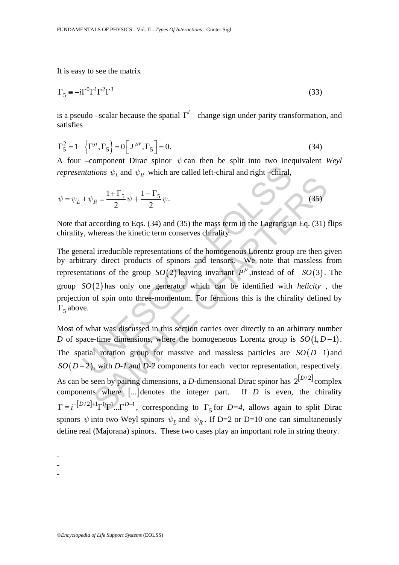It is easy to see the matrix

$$
\Gamma_5 \equiv -i\Gamma^0 \Gamma^1 \Gamma^2 \Gamma^3 \tag{33}
$$

is a pseudo –scalar because the spatial  $\Gamma^i$  change sign under parity transformation, and satisfies

$$
\Gamma_5^2 = 1 \quad \left\{ \Gamma^\mu, \Gamma_5 \right\} = 0 \left[ J^{\mu \nu}, \Gamma_5 \right] = 0. \tag{34}
$$

A four –component Dirac spinor *ψ* can then be split into two inequivalent *Weyl representations*  $\psi_I$  and  $\psi_R$  which are called left-chiral and right –chiral,

$$
\psi = \psi_L + \psi_R \equiv \frac{1 + \Gamma_5}{2} \psi + \frac{1 - \Gamma_5}{2} \psi.
$$
 (35)

Note that according to Eqs. (34) and (35) the mass term in the Lagrangian Eq. (31) flips chirality, whereas the kinetic term conserves chirality.

*ntations*  $\psi_L$  and  $\psi_R$  which are called left-chiral and right-chiral,<br>  $+\psi_R = \frac{1+\Gamma_5}{2}\psi + \frac{1-\Gamma_5}{2}\psi$ .<br>
at according to Eqs. (34) and (35) the mass term in the Lagrangia<br> *i*, whereas the kinetic term conserves chira The general irreducible representations of the homogenous Lorentz group are then given by arbitrary direct products of spinors and tensors. We note that massless from representations of the group  $SO(2)$  leaving invariant  $P^{\mu}$ , instead of of  $SO(3)$ . The group  $SO(2)$  has only one generator which can be identified with *helicity*, the projection of spin onto three-momentum. For fermions this is the chirality defined by  $\Gamma$ <sub>5</sub> above.

 $y_R = \frac{1+\Gamma_S}{2} \psi + \frac{1-\Gamma_S}{2} \psi.$  (35)<br>
ccording to Eqs. (34) and (35) the mass term in the Lagrangian Eq. (31)<br>
chereas the kinetic term conserves chirality.<br>
Il irreducible representations of the homogenous Lorentz group Most of what was discussed in this section carries over directly to an arbitrary number *D* of space-time dimensions, where the homogeneous Lorentz group is  $SO(1, D-1)$ . The spatial rotation group for massive and massless particles are  $SO(D-1)$  and  $SO(D-2)$ , with *D-1* and *D-2* components for each vector representation, respectively. As can be seen by pairing dimensions, a *D*-dimensional Dirac spinor has  $2^{[D/2]}$  complex components where [...] denotes the integer part. If *D* is even, the chirality  $\Gamma = i^{-[D/2]+1} \Gamma^0 \Gamma^1 ... \Gamma^{D-1}$ , corresponding to  $\Gamma_5$  for *D=4*, allows again to split Dirac spinors  $\psi$  into two Weyl spinors  $\psi_L$  and  $\psi_R$ . If D=2 or D=10 one can simultaneously define real (Majorana) spinors. These two cases play an important role in string theory.

- -

-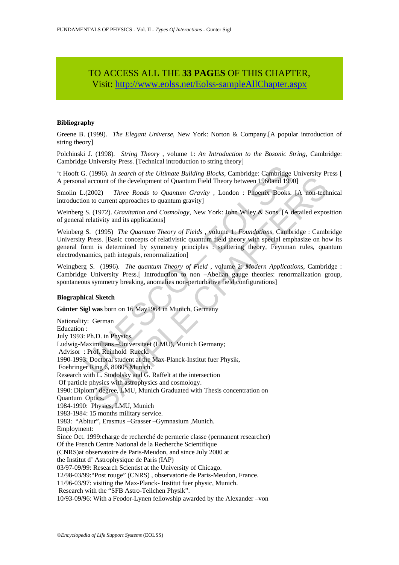# TO ACCESS ALL THE **33 PAGES** OF THIS CHAPTER, Visit[: http://www.eolss.net/Eolss-sampleAllChapter.aspx](https://www.eolss.net/ebooklib/sc_cart.aspx?File=E6-06B-03-02)

#### **Bibliography**

Greene B. (1999). *The Elegant Universe*, New York: Norton & Company.[A popular introduction of string theory]

Polchinski J. (1998). *String Theory* , volume 1: *An Introduction to the Bosonic String*, Cambridge: Cambridge University Press. [Technical introduction to string theory]

't Hooft G. (1996). *In search of the Ultimate Building Blocks*, Cambridge: Cambridge University Press [ A personal account of the development of Quantum Field Theory between 1960and 1990]

Smolin L.(2002) *Three Roads to Quantum Gravity* , London : Phoenix Books. [A non-technical introduction to current approaches to quantum gravity]

Weinberg S. (1972). *Gravitation and Cosmology*, New York: John Wiley & Sons. [A detailed exposition of general relativity and its applications]

Weinberg S. (1995) *The Quantum Theory of Fields* , volume 1: *Foundations,* Cambridge : Cambridge University Press. [Basic concepts of relativistic quantum field theory with special emphasize on how its general form is determined by symmetry principles : scattering theory, Feynman rules, quantum electrodynamics, path integrals, renormalization]

Weingberg S. (1996). *The quantum Theory of Field* , volume 2: *Modern Applications*, Cambridge : Cambridge University Press.[ Introduction to non –Abelian gauge theories: renormalization group, spontaneous symmetry breaking, anomalies non-perturbative field configurations]

#### **Biographical Sketch**

**Günter Sigl was** born on 16 May1964 in Munich, Germany

G. (1996). *In search of the Ultimate Building Blocks*, Cambridge: Cambridge al account of the development of Quantum Field Theory between 1960and 199<br>
..(2002) Three Roads to Quantum Gravity, London : Phoenix Books.<br>
S. ( count of the development of Quantum Field Theory between 1960and 1990]<br>
2020 Three Roads to Quantum Gravity, London : Phoenix Books. [A non-tech<br>
courrent approaches to quantum Gravity, London : Phoenix Books. [A non-tech<br> Nationality: German Education : July 1993: Ph.D. in Physics, Ludwig-Maximilians –Universitaet (LMU), Munich Germany; Advisor : Prof. Reinhold Ruecki 1990-1993: Doctoral student at the Max-Planck-Institut fuer Physik, Foehringer Ring 6, 80805 Munich. Research with L. Stodolsky and G. Raffelt at the intersection Of particle physics with astrophysics and cosmology. 1990: Diplom" degree, LMU, Munich Graduated with Thesis concentration on Quantum Optics. 1984-1990: Physics, LMU, Munich 1983-1984: 15 months military service. 1983: "Abitur", Erasmus –Grasser –Gymnasium ,Munich. Employment: Since Oct. 1999:charge de recherché de permerie classe (permanent researcher) Of the French Centre National de la Recherche Scientifique (CNRS)at observatoire de Paris-Meudon, and since July 2000 at the Institut d' Astrophysique de Paris (IAP) 03/97-09/99: Research Scientist at the University of Chicago. 12/98-03/99:"Post rouge" (CNRS) , observatorie de Paris-Meudon, France. 11/96-03/97: visiting the Max-Planck- Institut fuer physic, Munich. Research with the "SFB Astro-Teilchen Physik". 10/93-09/96: With a Feodor-Lynen fellowship awarded by the Alexander –von